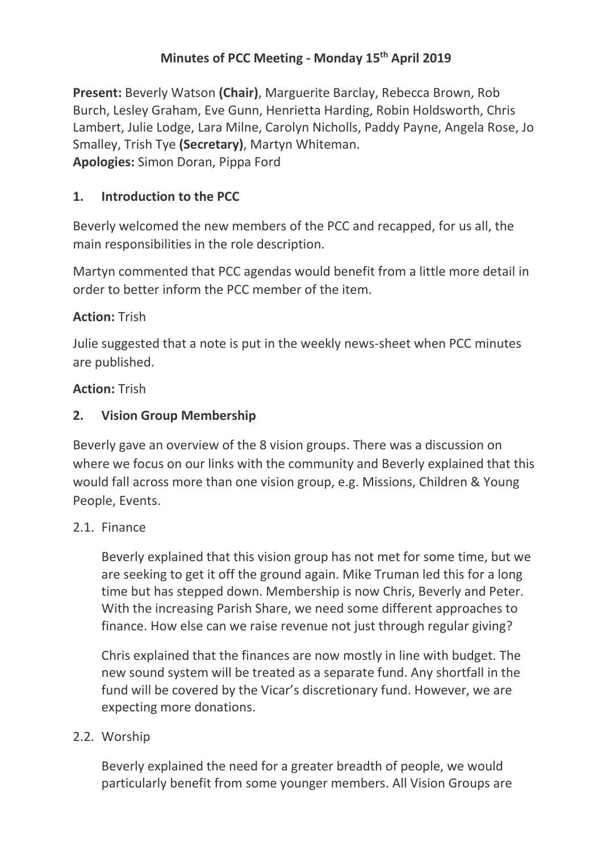## **Minutes of PCC Meeting - Monday 15th April 2019**

**Present:** Beverly Watson **(Chair)**, Marguerite Barclay, Rebecca Brown, Rob Burch, Lesley Graham, Eve Gunn, Henrietta Harding, Robin Holdsworth, Chris Lambert, Julie Lodge, Lara Milne, Carolyn Nicholls, Paddy Payne, Angela Rose, Jo Smalley, Trish Tye **(Secretary)**, Martyn Whiteman. **Apologies:** Simon Doran, Pippa Ford

## **1. Introduction to the PCC**

Beverly welcomed the new members of the PCC and recapped, for us all, the main responsibilities in the role description.

Martyn commented that PCC agendas would benefit from a little more detail in order to better inform the PCC member of the item.

## **Action:** Trish

Julie suggested that a note is put in the weekly news-sheet when PCC minutes are published.

## **Action:** Trish

## **2. Vision Group Membership**

Beverly gave an overview of the 8 vision groups. There was a discussion on where we focus on our links with the community and Beverly explained that this would fall across more than one vision group, e.g. Missions, Children & Young People, Events.

#### 2.1. Finance

Beverly explained that this vision group has not met for some time, but we are seeking to get it off the ground again. Mike Truman led this for a long time but has stepped down. Membership is now Chris, Beverly and Peter. With the increasing Parish Share, we need some different approaches to finance. How else can we raise revenue not just through regular giving?

Chris explained that the finances are now mostly in line with budget. The new sound system will be treated as a separate fund. Any shortfall in the fund will be covered by the Vicar's discretionary fund. However, we are expecting more donations.

#### 2.2. Worship

Beverly explained the need for a greater breadth of people, we would particularly benefit from some younger members. All Vision Groups are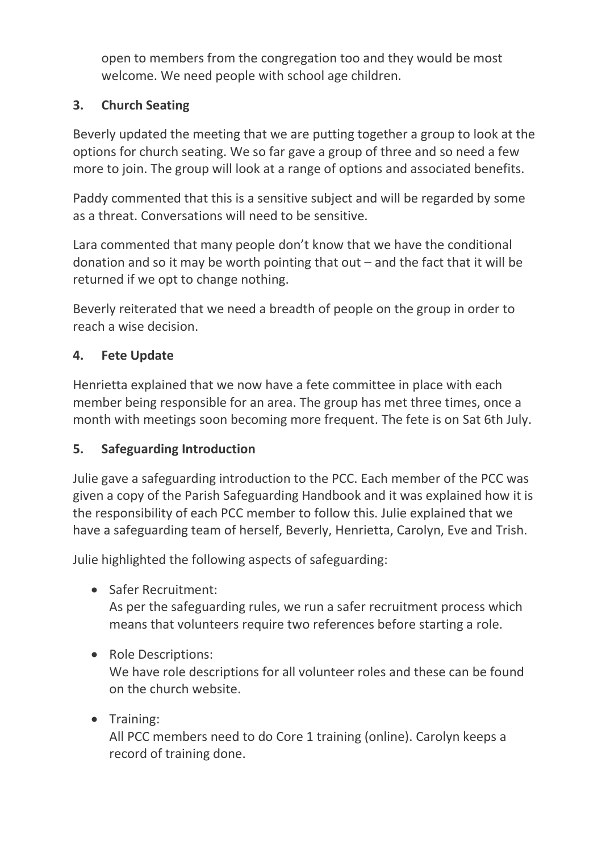open to members from the congregation too and they would be most welcome. We need people with school age children.

# **3. Church Seating**

Beverly updated the meeting that we are putting together a group to look at the options for church seating. We so far gave a group of three and so need a few more to join. The group will look at a range of options and associated benefits.

Paddy commented that this is a sensitive subject and will be regarded by some as a threat. Conversations will need to be sensitive.

Lara commented that many people don't know that we have the conditional donation and so it may be worth pointing that out – and the fact that it will be returned if we opt to change nothing.

Beverly reiterated that we need a breadth of people on the group in order to reach a wise decision.

# **4. Fete Update**

Henrietta explained that we now have a fete committee in place with each member being responsible for an area. The group has met three times, once a month with meetings soon becoming more frequent. The fete is on Sat 6th July.

## **5. Safeguarding Introduction**

Julie gave a safeguarding introduction to the PCC. Each member of the PCC was given a copy of the Parish Safeguarding Handbook and it was explained how it is the responsibility of each PCC member to follow this. Julie explained that we have a safeguarding team of herself, Beverly, Henrietta, Carolyn, Eve and Trish.

Julie highlighted the following aspects of safeguarding:

• Safer Recruitment:

As per the safeguarding rules, we run a safer recruitment process which means that volunteers require two references before starting a role.

• Role Descriptions:

We have role descriptions for all volunteer roles and these can be found on the church website.

• Training:

All PCC members need to do Core 1 training (online). Carolyn keeps a record of training done.